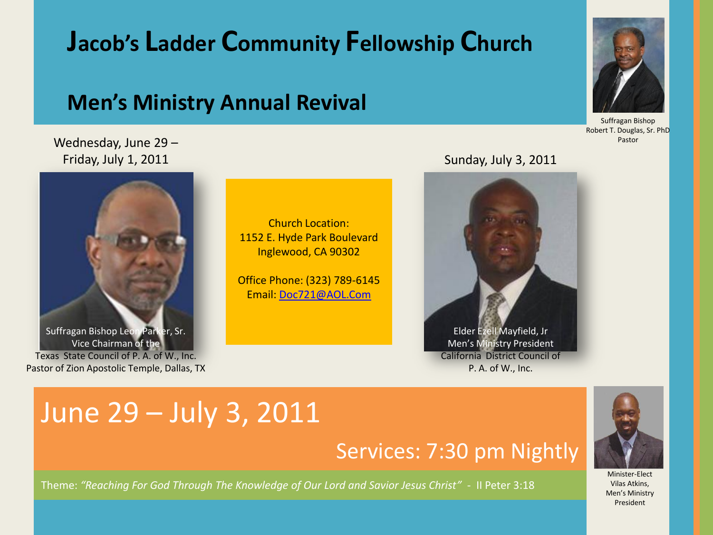# **Jacob's Ladder Community Fellowship Church**

## **Men's Ministry Annual Revival**

## Wednesday, June 29 – Friday, July 1, 2011 **Sunday, July 3, 2011**



Church Location: 1152 E. Hyde Park Boulevard Inglewood, CA 90302

Office Phone: (323) 789-6145 Email: [Doc721@AOL.Com](mailto:Doc721@AOL.Com)



# June 29 – July 3, 2011

# Services: 7:30 pm Nightly

Theme: *"Reaching For God Through The Knowledge of Our Lord and Savior Jesus Christ"* - II Peter 3:18



Minister-Elect Vilas Atkins, Men's Ministry President



Suffragan Bishop Robert T. Douglas, Sr. PhD Pastor